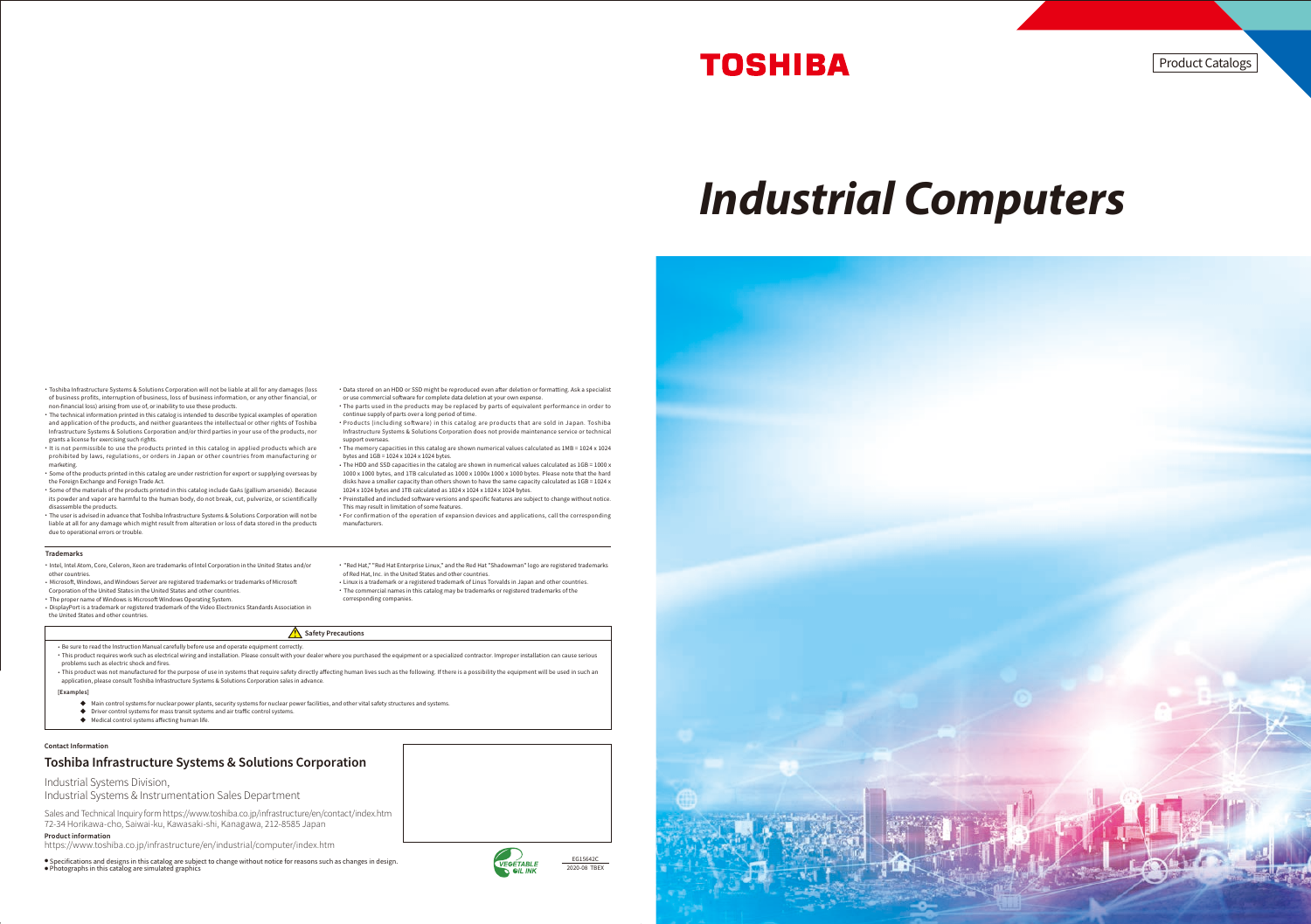EG15642C





Industrial Systems Division,

Industrial Systems & Instrumentation Sales Department



- ・ Be sure to read the Instruction Manual carefully before use and operate equipment correctly. ・ This product requires work such as electrical wiring and installation. Please consult with your dealer where you purchased the equipment or a specialized contractor. Improper installation can cause serious problems such as electric shock and fires.
- · This product was not manufactured for the purpose of use in systems that require safety directly affecting human lives such as the following. If there is a possibility the equipment will be used in such an application, please consult Toshiba Infrastructure Systems & Solutions Corporation sales in advance.
- [Examples]
	- ◆ Main control systems for nuclear power plants, security systems for nuclear power facilities, and other vital safety structures and systems.
	- ◆ Driver control systems for mass transit systems and air traffic control systems.
	- $\blacklozenge$  Medical control systems affecting human life.
- ・ The technical information printed in this catalog is intended to describe typical examples of operation and application of the products, and neither guarantees the intellectual or other rights of Toshiba Infrastructure Systems & Solutions Corporation and/or third parties in your use of the products, nor grants a license for exercising such rights.
- ・ It is not permissible to use the products printed in this catalog in applied products which are prohibited by laws, regulations, or orders in Japan or other countries from manufacturing or marketing.
- ・ Some of the products printed in this catalog are under restriction for export or supplying overseas by the Foreign Exchange and Foreign Trade Act.
- ・ Some of the materials of the products printed in this catalog include GaAs (gallium arsenide). Because its powder and vapor are harmful to the human body, do not break, cut, pulverize, or scientifically disassemble the products.
- ・ The user is advised in advance that Toshiba Infrastructure Systems & Solutions Corporation will not be liable at all for any damage which might result from alteration or loss of data stored in the products due to operational errors or trouble.
- Trademarks
- ・Intel, Intel Atom, Core, Celeron, Xeon are trademarks of Intel Corporation in the United States and/or other countries.
- Microsoft, Windows, and Windows Server are registered trademarks or trademarks of Microsoft
- Corporation of the United States in the United States and other countries. • The proper name of Windows is Microsoft Windows Operating System.
- ・DisplayPort is a trademark or registered trademark of the Video Electronics Standards Association in the United States and other countries.
- Data stored on an HDD or SSD might be reproduced even after deletion or formatting. Ask a specialist or use commercial software for complete data deletion at your own expense.
- ・ The parts used in the products may be replaced by parts of equivalent performance in order to continue supply of parts over a long period of time.
- Products (including software) in this catalog are products that are sold in Japan. Toshiba Infrastructure Systems & Solutions Corporation does not provide maintenance service or technical support overseas.
- ・ The memory capacities in this catalog are shown numerical values calculated as 1MB = 1024 x 1024 bytes and 1GB = 1024 x 1024 x 1024 bytes.
- ・ The HDD and SSD capacities in the catalog are shown in numerical values calculated as 1GB = 1000 x 1000 x 1000 bytes, and 1TB calculated as 1000 x 1000x 1000 x 1000 bytes. Please note that the hard disks have a smaller capacity than others shown to have the same capacity calculated as  $1GB = 1024 \times$
- 1024 x 1024 bytes and 1TB calculated as 1024 x 1024 x 1024 x 1024 bytes. Preinstalled and included software versions and specific features are subject to change without notice. This may result in limitation of some features.
- ・ For confirmation of the operation of expansion devices and applications, call the corresponding manufacturers.

#### ・ "Red Hat," "Red Hat Enterprise Linux," and the Red Hat "Shadowman" logo are registered trademarks of Red Hat, Inc. in the United States and other countries.

・Linux is a trademark or a registered trademark of Linus Torvalds in Japan and other countries. ・ The commercial names in this catalog may be trademarks or registered trademarks of the corresponding companies.

#### $\sqrt{\phantom{a}}\phantom{a}$  Safety Precautions

## **TOSHIBA**

# *Industrial Computers*

Product Catalogs

#### Toshiba Infrastructure Systems & Solutions Corporation

Sales and Technical Inquiry form https://www.toshiba.co.jp/infrastructure/en/contact/index.htm 72-34 Horikawa-cho, Saiwai-ku, Kawasaki-shi, Kanagawa, 212-8585 Japan

Product information

https://www.toshiba.co.jp/infrastructure/en/industrial/computer/index.htm

● Specifications and designs in this catalog are subject to change without notice for reasons such as changes in design.<br>● Photographs in this catalog are simulated graphics

#### Contact Information